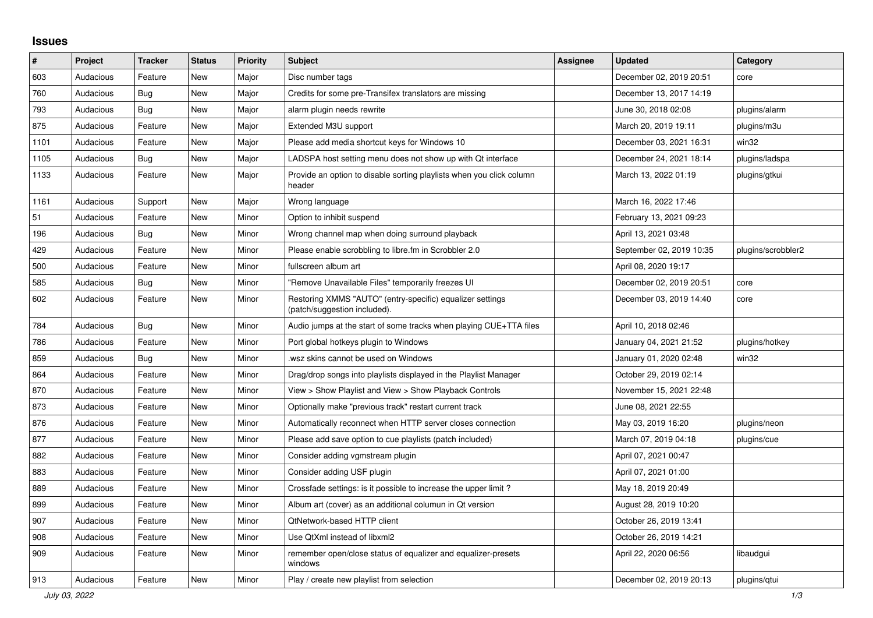## **Issues**

| $\vert$ # | Project   | <b>Tracker</b> | <b>Status</b> | <b>Priority</b> | <b>Subject</b>                                                                            | <b>Assignee</b> | <b>Updated</b>           | Category           |
|-----------|-----------|----------------|---------------|-----------------|-------------------------------------------------------------------------------------------|-----------------|--------------------------|--------------------|
| 603       | Audacious | Feature        | New           | Major           | Disc number tags                                                                          |                 | December 02, 2019 20:51  | core               |
| 760       | Audacious | Bug            | <b>New</b>    | Major           | Credits for some pre-Transifex translators are missing                                    |                 | December 13, 2017 14:19  |                    |
| 793       | Audacious | <b>Bug</b>     | <b>New</b>    | Major           | alarm plugin needs rewrite                                                                |                 | June 30, 2018 02:08      | plugins/alarm      |
| 875       | Audacious | Feature        | <b>New</b>    | Major           | Extended M3U support                                                                      |                 | March 20, 2019 19:11     | plugins/m3u        |
| 1101      | Audacious | Feature        | <b>New</b>    | Major           | Please add media shortcut keys for Windows 10                                             |                 | December 03, 2021 16:31  | win32              |
| 1105      | Audacious | <b>Bug</b>     | <b>New</b>    | Major           | LADSPA host setting menu does not show up with Qt interface                               |                 | December 24, 2021 18:14  | plugins/ladspa     |
| 1133      | Audacious | Feature        | New           | Major           | Provide an option to disable sorting playlists when you click column<br>header            |                 | March 13, 2022 01:19     | plugins/gtkui      |
| 1161      | Audacious | Support        | <b>New</b>    | Major           | Wrong language                                                                            |                 | March 16, 2022 17:46     |                    |
| 51        | Audacious | Feature        | New           | Minor           | Option to inhibit suspend                                                                 |                 | February 13, 2021 09:23  |                    |
| 196       | Audacious | <b>Bug</b>     | New           | Minor           | Wrong channel map when doing surround playback                                            |                 | April 13, 2021 03:48     |                    |
| 429       | Audacious | Feature        | <b>New</b>    | Minor           | Please enable scrobbling to libre.fm in Scrobbler 2.0                                     |                 | September 02, 2019 10:35 | plugins/scrobbler2 |
| 500       | Audacious | Feature        | <b>New</b>    | Minor           | fullscreen album art                                                                      |                 | April 08, 2020 19:17     |                    |
| 585       | Audacious | <b>Bug</b>     | New           | Minor           | "Remove Unavailable Files" temporarily freezes UI                                         |                 | December 02, 2019 20:51  | core               |
| 602       | Audacious | Feature        | <b>New</b>    | Minor           | Restoring XMMS "AUTO" (entry-specific) equalizer settings<br>(patch/suggestion included). |                 | December 03, 2019 14:40  | core               |
| 784       | Audacious | Bug            | New           | Minor           | Audio jumps at the start of some tracks when playing CUE+TTA files                        |                 | April 10, 2018 02:46     |                    |
| 786       | Audacious | Feature        | <b>New</b>    | Minor           | Port global hotkeys plugin to Windows                                                     |                 | January 04, 2021 21:52   | plugins/hotkey     |
| 859       | Audacious | Bug            | <b>New</b>    | Minor           | wsz skins cannot be used on Windows                                                       |                 | January 01, 2020 02:48   | win32              |
| 864       | Audacious | Feature        | New           | Minor           | Drag/drop songs into playlists displayed in the Playlist Manager                          |                 | October 29, 2019 02:14   |                    |
| 870       | Audacious | Feature        | New           | Minor           | View > Show Playlist and View > Show Playback Controls                                    |                 | November 15, 2021 22:48  |                    |
| 873       | Audacious | Feature        | <b>New</b>    | Minor           | Optionally make "previous track" restart current track                                    |                 | June 08, 2021 22:55      |                    |
| 876       | Audacious | Feature        | <b>New</b>    | Minor           | Automatically reconnect when HTTP server closes connection                                |                 | May 03, 2019 16:20       | plugins/neon       |
| 877       | Audacious | Feature        | <b>New</b>    | Minor           | Please add save option to cue playlists (patch included)                                  |                 | March 07, 2019 04:18     | plugins/cue        |
| 882       | Audacious | Feature        | <b>New</b>    | Minor           | Consider adding vgmstream plugin                                                          |                 | April 07, 2021 00:47     |                    |
| 883       | Audacious | Feature        | <b>New</b>    | Minor           | Consider adding USF plugin                                                                |                 | April 07, 2021 01:00     |                    |
| 889       | Audacious | Feature        | New           | Minor           | Crossfade settings: is it possible to increase the upper limit?                           |                 | May 18, 2019 20:49       |                    |
| 899       | Audacious | Feature        | New           | Minor           | Album art (cover) as an additional columun in Qt version                                  |                 | August 28, 2019 10:20    |                    |
| 907       | Audacious | Feature        | New           | Minor           | <b>QtNetwork-based HTTP client</b>                                                        |                 | October 26, 2019 13:41   |                    |
| 908       | Audacious | Feature        | New           | Minor           | Use QtXml instead of libxml2                                                              |                 | October 26, 2019 14:21   |                    |
| 909       | Audacious | Feature        | New           | Minor           | remember open/close status of equalizer and equalizer-presets<br>windows                  |                 | April 22, 2020 06:56     | libaudgui          |
| 913       | Audacious | Feature        | <b>New</b>    | Minor           | Play / create new playlist from selection                                                 |                 | December 02, 2019 20:13  | plugins/qtui       |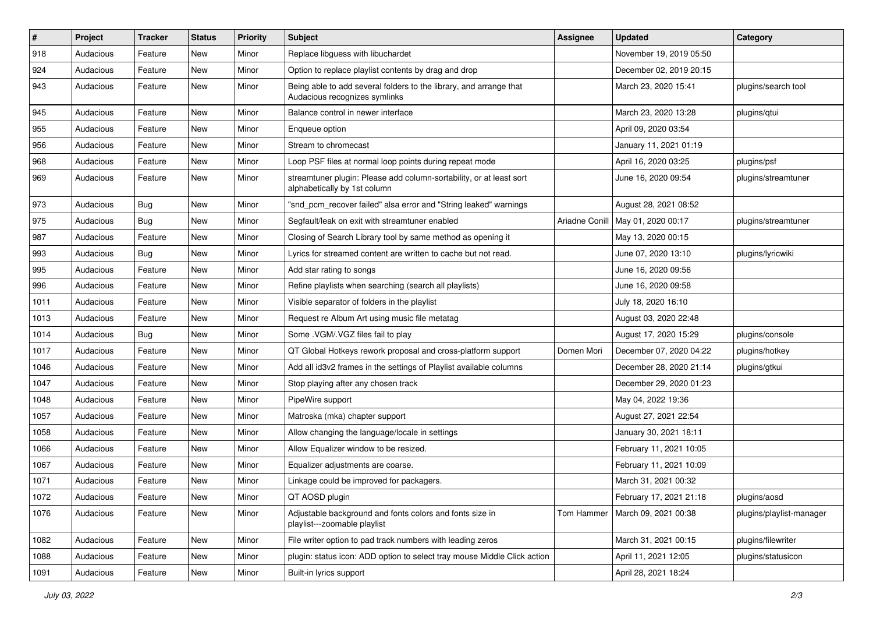| $\sharp$ | Project   | <b>Tracker</b> | <b>Status</b> | <b>Priority</b> | Subject                                                                                             | <b>Assignee</b> | <b>Updated</b>          | Category                 |
|----------|-----------|----------------|---------------|-----------------|-----------------------------------------------------------------------------------------------------|-----------------|-------------------------|--------------------------|
| 918      | Audacious | Feature        | <b>New</b>    | Minor           | Replace libguess with libuchardet                                                                   |                 | November 19, 2019 05:50 |                          |
| 924      | Audacious | Feature        | New           | Minor           | Option to replace playlist contents by drag and drop                                                |                 | December 02, 2019 20:15 |                          |
| 943      | Audacious | Feature        | New           | Minor           | Being able to add several folders to the library, and arrange that<br>Audacious recognizes symlinks |                 | March 23, 2020 15:41    | plugins/search tool      |
| 945      | Audacious | Feature        | <b>New</b>    | Minor           | Balance control in newer interface                                                                  |                 | March 23, 2020 13:28    | plugins/qtui             |
| 955      | Audacious | Feature        | New           | Minor           | Enqueue option                                                                                      |                 | April 09, 2020 03:54    |                          |
| 956      | Audacious | Feature        | <b>New</b>    | Minor           | Stream to chromecast                                                                                |                 | January 11, 2021 01:19  |                          |
| 968      | Audacious | Feature        | New           | Minor           | Loop PSF files at normal loop points during repeat mode                                             |                 | April 16, 2020 03:25    | plugins/psf              |
| 969      | Audacious | Feature        | New           | Minor           | streamtuner plugin: Please add column-sortability, or at least sort<br>alphabetically by 1st column |                 | June 16, 2020 09:54     | plugins/streamtuner      |
| 973      | Audacious | Bug            | <b>New</b>    | Minor           | "snd_pcm_recover failed" alsa error and "String leaked" warnings                                    |                 | August 28, 2021 08:52   |                          |
| 975      | Audacious | Bug            | <b>New</b>    | Minor           | Segfault/leak on exit with streamtuner enabled                                                      | Ariadne Conill  | May 01, 2020 00:17      | plugins/streamtuner      |
| 987      | Audacious | Feature        | <b>New</b>    | Minor           | Closing of Search Library tool by same method as opening it                                         |                 | May 13, 2020 00:15      |                          |
| 993      | Audacious | Bug            | New           | Minor           | Lyrics for streamed content are written to cache but not read.                                      |                 | June 07, 2020 13:10     | plugins/lyricwiki        |
| 995      | Audacious | Feature        | <b>New</b>    | Minor           | Add star rating to songs                                                                            |                 | June 16, 2020 09:56     |                          |
| 996      | Audacious | Feature        | New           | Minor           | Refine playlists when searching (search all playlists)                                              |                 | June 16, 2020 09:58     |                          |
| 1011     | Audacious | Feature        | New           | Minor           | Visible separator of folders in the playlist                                                        |                 | July 18, 2020 16:10     |                          |
| 1013     | Audacious | Feature        | <b>New</b>    | Minor           | Request re Album Art using music file metatag                                                       |                 | August 03, 2020 22:48   |                          |
| 1014     | Audacious | Bug            | New           | Minor           | Some .VGM/.VGZ files fail to play                                                                   |                 | August 17, 2020 15:29   | plugins/console          |
| 1017     | Audacious | Feature        | <b>New</b>    | Minor           | QT Global Hotkeys rework proposal and cross-platform support                                        | Domen Mori      | December 07, 2020 04:22 | plugins/hotkey           |
| 1046     | Audacious | Feature        | New           | Minor           | Add all id3v2 frames in the settings of Playlist available columns                                  |                 | December 28, 2020 21:14 | plugins/gtkui            |
| 1047     | Audacious | Feature        | New           | Minor           | Stop playing after any chosen track                                                                 |                 | December 29, 2020 01:23 |                          |
| 1048     | Audacious | Feature        | <b>New</b>    | Minor           | PipeWire support                                                                                    |                 | May 04, 2022 19:36      |                          |
| 1057     | Audacious | Feature        | New           | Minor           | Matroska (mka) chapter support                                                                      |                 | August 27, 2021 22:54   |                          |
| 1058     | Audacious | Feature        | New           | Minor           | Allow changing the language/locale in settings                                                      |                 | January 30, 2021 18:11  |                          |
| 1066     | Audacious | Feature        | New           | Minor           | Allow Equalizer window to be resized.                                                               |                 | February 11, 2021 10:05 |                          |
| 1067     | Audacious | Feature        | New           | Minor           | Equalizer adjustments are coarse.                                                                   |                 | February 11, 2021 10:09 |                          |
| 1071     | Audacious | Feature        | <b>New</b>    | Minor           | Linkage could be improved for packagers.                                                            |                 | March 31, 2021 00:32    |                          |
| 1072     | Audacious | Feature        | New           | Minor           | QT AOSD plugin                                                                                      |                 | February 17, 2021 21:18 | plugins/aosd             |
| 1076     | Audacious | Feature        | New           | Minor           | Adjustable background and fonts colors and fonts size in<br>playlist---zoomable playlist            | Tom Hammer      | March 09, 2021 00:38    | plugins/playlist-manager |
| 1082     | Audacious | Feature        | New           | Minor           | File writer option to pad track numbers with leading zeros                                          |                 | March 31, 2021 00:15    | plugins/filewriter       |
| 1088     | Audacious | Feature        | New           | Minor           | plugin: status icon: ADD option to select tray mouse Middle Click action                            |                 | April 11, 2021 12:05    | plugins/statusicon       |
| 1091     | Audacious | Feature        | New           | Minor           | Built-in lyrics support                                                                             |                 | April 28, 2021 18:24    |                          |